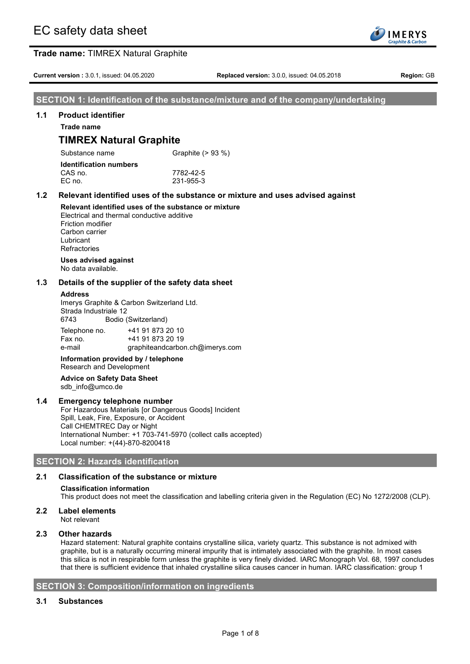

**Current version :** 3.0.1, issued: 04.05.2020 **Replaced version:** 3.0.0, issued: 04.05.2018 **Region:** GB

### **SECTION 1: Identification of the substance/mixture and of the company/undertaking**

#### **1.1 Product identifier**

**Trade name**

## **TIMREX Natural Graphite**

| Substance name                | Graphite (> 93 %) |  |  |
|-------------------------------|-------------------|--|--|
| <b>Identification numbers</b> |                   |  |  |
| CAS no.                       | 7782-42-5         |  |  |
| EC no.                        | 231-955-3         |  |  |
|                               |                   |  |  |

### **1.2 Relevant identified uses of the substance or mixture and uses advised against**

#### **Relevant identified uses of the substance or mixture** Electrical and thermal conductive additive Friction modifier

Carbon carrier Lubricant **Refractories** 

#### **Uses advised against** No data available.

### **1.3 Details of the supplier of the safety data sheet**

#### **Address**

Imerys Graphite & Carbon Switzerland Ltd. Strada Industriale 12 6743 Bodio (Switzerland)

| Telephone no. | +41 91 873 20 10                |
|---------------|---------------------------------|
| Fax no.       | +41 91 873 20 19                |
| e-mail        | graphiteandcarbon.ch@imerys.com |
| .             | .                               |

**Information provided by / telephone** Research and Development

**Advice on Safety Data Sheet** sdb\_info@umco.de

### **1.4 Emergency telephone number**

For Hazardous Materials [or Dangerous Goods] Incident Spill, Leak, Fire, Exposure, or Accident Call CHEMTREC Day or Night International Number: +1 703-741-5970 (collect calls accepted) Local number: +(44)-870-8200418

### **SECTION 2: Hazards identification**

### **2.1 Classification of the substance or mixture**

#### **Classification information**

This product does not meet the classification and labelling criteria given in the Regulation (EC) No 1272/2008 (CLP).

**2.2 Label elements** Not relevant

### **2.3 Other hazards**

Hazard statement: Natural graphite contains crystalline silica, variety quartz. This substance is not admixed with graphite, but is a naturally occurring mineral impurity that is intimately associated with the graphite. In most cases this silica is not in respirable form unless the graphite is very finely divided. IARC Monograph Vol. 68, 1997 concludes that there is sufficient evidence that inhaled crystalline silica causes cancer in human. IARC classification: group 1

### **SECTION 3: Composition/information on ingredients**

### **3.1 Substances**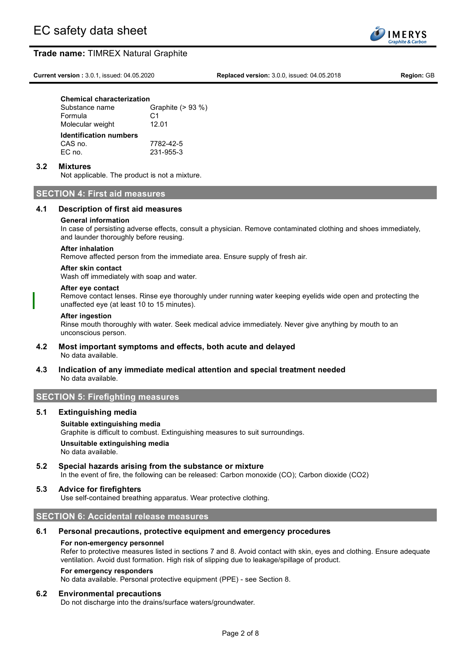**Current version :** 3.0.1, issued: 04.05.2020 **Replaced version:** 3.0.0, issued: 04.05.2018 **Region:** GB

**IMERYS** anhite & Carh

### **Chemical characterization**

| Substance name                | Graphite (> 93 %) |  |  |
|-------------------------------|-------------------|--|--|
| Formula                       | C <sub>1</sub>    |  |  |
| Molecular weight              | 12.01             |  |  |
|                               |                   |  |  |
| <b>Identification numbers</b> |                   |  |  |
| CAS no.                       | 7782-42-5         |  |  |
| EC no.                        | 231-955-3         |  |  |

#### **3.2 Mixtures**

Not applicable. The product is not a mixture.

### **SECTION 4: First aid measures**

#### **4.1 Description of first aid measures**

#### **General information**

In case of persisting adverse effects, consult a physician. Remove contaminated clothing and shoes immediately, and launder thoroughly before reusing.

#### **After inhalation**

Remove affected person from the immediate area. Ensure supply of fresh air.

### **After skin contact**

Wash off immediately with soap and water.

#### **After eye contact**

Remove contact lenses. Rinse eye thoroughly under running water keeping eyelids wide open and protecting the unaffected eye (at least 10 to 15 minutes).

#### **After ingestion**

Rinse mouth thoroughly with water. Seek medical advice immediately. Never give anything by mouth to an unconscious person.

- **4.2 Most important symptoms and effects, both acute and delayed** No data available.
- **4.3 Indication of any immediate medical attention and special treatment needed** No data available.

### **SECTION 5: Firefighting measures**

#### **5.1 Extinguishing media**

#### **Suitable extinguishing media**

Graphite is difficult to combust. Extinguishing measures to suit surroundings. **Unsuitable extinguishing media**

No data available.

**5.2 Special hazards arising from the substance or mixture**

In the event of fire, the following can be released: Carbon monoxide (CO); Carbon dioxide (CO2)

### **5.3 Advice for firefighters**

Use self-contained breathing apparatus. Wear protective clothing.

### **SECTION 6: Accidental release measures**

#### **6.1 Personal precautions, protective equipment and emergency procedures**

#### **For non-emergency personnel**

Refer to protective measures listed in sections 7 and 8. Avoid contact with skin, eyes and clothing. Ensure adequate ventilation. Avoid dust formation. High risk of slipping due to leakage/spillage of product.

#### **For emergency responders**

No data available. Personal protective equipment (PPE) - see Section 8.

#### **6.2 Environmental precautions**

Do not discharge into the drains/surface waters/groundwater.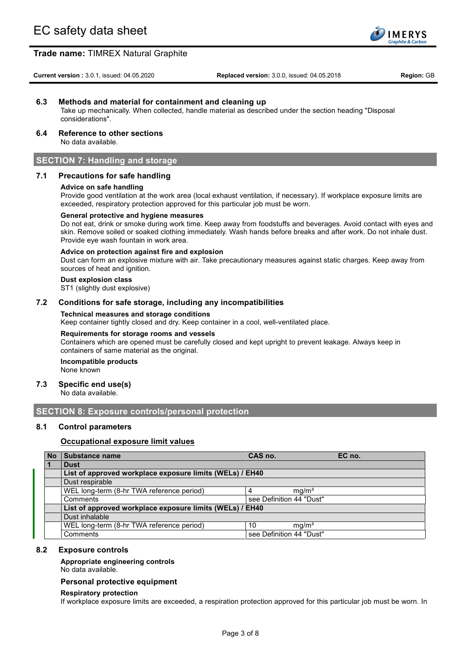

**Current version :** 3.0.1, issued: 04.05.2020 **Replaced version:** 3.0.0, issued: 04.05.2018 **Region:** GB

### **6.3 Methods and material for containment and cleaning up**

Take up mechanically. When collected, handle material as described under the section heading "Disposal considerations".

### **6.4 Reference to other sections**

No data available.

### **SECTION 7: Handling and storage**

### **7.1 Precautions for safe handling**

#### **Advice on safe handling**

Provide good ventilation at the work area (local exhaust ventilation, if necessary). If workplace exposure limits are exceeded, respiratory protection approved for this particular job must be worn.

#### **General protective and hygiene measures**

Do not eat, drink or smoke during work time. Keep away from foodstuffs and beverages. Avoid contact with eyes and skin. Remove soiled or soaked clothing immediately. Wash hands before breaks and after work. Do not inhale dust. Provide eye wash fountain in work area.

#### **Advice on protection against fire and explosion**

Dust can form an explosive mixture with air. Take precautionary measures against static charges. Keep away from sources of heat and ignition.

#### **Dust explosion class**

ST1 (slightly dust explosive)

#### **7.2 Conditions for safe storage, including any incompatibilities**

#### **Technical measures and storage conditions**

Keep container tightly closed and dry. Keep container in a cool, well-ventilated place.

#### **Requirements for storage rooms and vessels**

Containers which are opened must be carefully closed and kept upright to prevent leakage. Always keep in containers of same material as the original.

#### **Incompatible products** None known

#### **7.3 Specific end use(s)**

No data available.

### **SECTION 8: Exposure controls/personal protection**

#### **8.1 Control parameters**

#### **Occupational exposure limit values**

| <b>No</b> | <b>Substance name</b>                                    | CAS no.                  | EC no. |
|-----------|----------------------------------------------------------|--------------------------|--------|
|           | <b>Dust</b>                                              |                          |        |
|           | List of approved workplace exposure limits (WELs) / EH40 |                          |        |
|           | Dust respirable                                          |                          |        |
|           | WEL long-term (8-hr TWA reference period)                | mq/m <sup>3</sup>        |        |
|           | Comments                                                 | see Definition 44 "Dust" |        |
|           | List of approved workplace exposure limits (WELs) / EH40 |                          |        |
|           | Dust inhalable                                           |                          |        |
|           | WEL long-term (8-hr TWA reference period)                | mq/m <sup>3</sup><br>10  |        |
|           | Comments                                                 | see Definition 44 "Dust" |        |

#### **8.2 Exposure controls**

#### **Appropriate engineering controls**

No data available.

#### **Personal protective equipment**

#### **Respiratory protection**

If workplace exposure limits are exceeded, a respiration protection approved for this particular job must be worn. In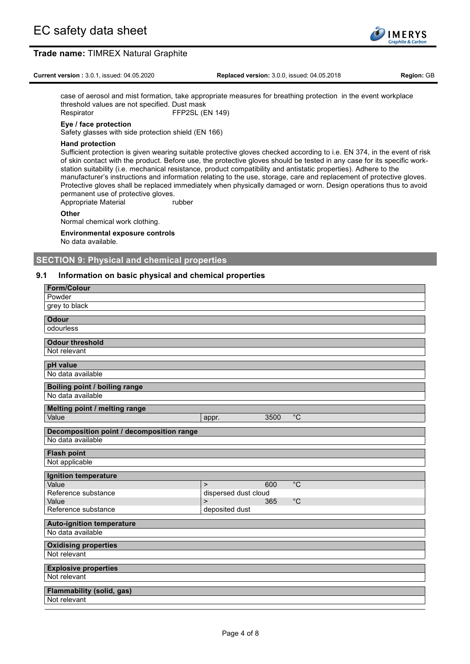

**Current version :** 3.0.1, issued: 04.05.2020 **Replaced version:** 3.0.0, issued: 04.05.2018 **Region:** GB

case of aerosol and mist formation, take appropriate measures for breathing protection in the event workplace threshold values are not specified. Dust mask Respirator FFP2SL (EN 149)

#### **Eye / face protection**

Safety glasses with side protection shield (EN 166)

#### **Hand protection**

Sufficient protection is given wearing suitable protective gloves checked according to i.e. EN 374, in the event of risk of skin contact with the product. Before use, the protective gloves should be tested in any case for its specific workstation suitability (i.e. mechanical resistance, product compatibility and antistatic properties). Adhere to the manufacturer's instructions and information relating to the use, storage, care and replacement of protective gloves. Protective gloves shall be replaced immediately when physically damaged or worn. Design operations thus to avoid permanent use of protective gloves.

Appropriate Material **Reserves** rubber

#### **Other**

Normal chemical work clothing.

#### **Environmental exposure controls**

No data available.

### **SECTION 9: Physical and chemical properties**

### **9.1 Information on basic physical and chemical properties**

| <b>Form/Colour</b>                        |                                       |
|-------------------------------------------|---------------------------------------|
| Powder                                    |                                       |
| grey to black                             |                                       |
| <b>Odour</b>                              |                                       |
| odourless                                 |                                       |
| <b>Odour threshold</b>                    |                                       |
| Not relevant                              |                                       |
| pH value                                  |                                       |
| No data available                         |                                       |
| Boiling point / boiling range             |                                       |
| No data available                         |                                       |
| Melting point / melting range             |                                       |
| Value                                     | $^{\circ}$ C<br>3500<br>appr.         |
| Decomposition point / decomposition range |                                       |
| No data available                         |                                       |
| <b>Flash point</b>                        |                                       |
| Not applicable                            |                                       |
| <b>Ignition temperature</b>               |                                       |
| Value                                     | $\overline{C}$<br>600<br>$\mathbf{L}$ |
| Reference substance                       | dispersed dust cloud                  |
| Value                                     | $^{\circ}$ C<br>365<br>$\mathbf{L}$   |
| Reference substance                       | deposited dust                        |
| <b>Auto-ignition temperature</b>          |                                       |
| No data available                         |                                       |
| <b>Oxidising properties</b>               |                                       |
| Not relevant                              |                                       |
| <b>Explosive properties</b>               |                                       |
| Not relevant                              |                                       |
| <b>Flammability (solid, gas)</b>          |                                       |
| Not relevant                              |                                       |
|                                           |                                       |

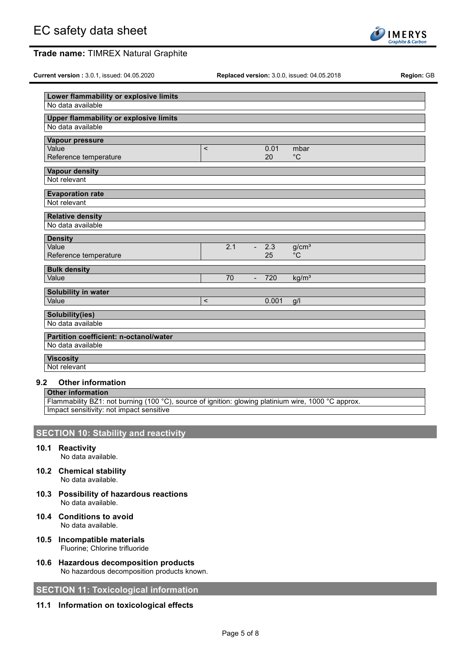**Current version :** 3.0.1, issued: 04.05.2020 **Replaced version:** 3.0.0, issued: 04.05.2018 **Region:** GB

| . |  |  |
|---|--|--|
|   |  |  |
|   |  |  |
|   |  |  |



| Lower flammability or explosive limits        |                          |     |                |        |                   |
|-----------------------------------------------|--------------------------|-----|----------------|--------|-------------------|
| No data available                             |                          |     |                |        |                   |
| <b>Upper flammability or explosive limits</b> |                          |     |                |        |                   |
| No data available                             |                          |     |                |        |                   |
| Vapour pressure                               |                          |     |                |        |                   |
| Value                                         | $\,<$                    |     |                | 0.01   | mbar              |
| Reference temperature                         |                          |     |                | 20     | $^{\circ}$ C      |
| <b>Vapour density</b>                         |                          |     |                |        |                   |
| Not relevant                                  |                          |     |                |        |                   |
| <b>Evaporation rate</b>                       |                          |     |                |        |                   |
| Not relevant                                  |                          |     |                |        |                   |
| <b>Relative density</b>                       |                          |     |                |        |                   |
| No data available                             |                          |     |                |        |                   |
| <b>Density</b>                                |                          |     |                |        |                   |
| Value                                         |                          | 2.1 |                | $-2.3$ | $g/cm^3$          |
| Reference temperature                         |                          |     |                | 25     | $^{\circ}C$       |
| <b>Bulk density</b>                           |                          |     |                |        |                   |
| Value                                         |                          | 70  | $\overline{a}$ | 720    | kg/m <sup>3</sup> |
| Solubility in water                           |                          |     |                |        |                   |
| Value                                         | $\overline{\phantom{a}}$ |     |                | 0.001  | q/l               |
| Solubility(ies)                               |                          |     |                |        |                   |
| No data available                             |                          |     |                |        |                   |
| <b>Partition coefficient: n-octanol/water</b> |                          |     |                |        |                   |
| No data available                             |                          |     |                |        |                   |
| <b>Viscosity</b>                              |                          |     |                |        |                   |
| Not relevant                                  |                          |     |                |        |                   |

### **9.2 Other information**

#### **Other information**

Flammability BZ1: not burning (100 °C), source of ignition: glowing platinium wire, 1000 °C approx Impact sensitivity: not impact sensitive

# **SECTION 10: Stability and reactivity**

**10.1 Reactivity**

No data available.

- **10.2 Chemical stability** No data available.
- **10.3 Possibility of hazardous reactions** No data available.
- **10.4 Conditions to avoid** No data available.
- **10.5 Incompatible materials** Fluorine; Chlorine trifluoride
- **10.6 Hazardous decomposition products** No hazardous decomposition products known.

### **SECTION 11: Toxicological information**

### **11.1 Information on toxicological effects**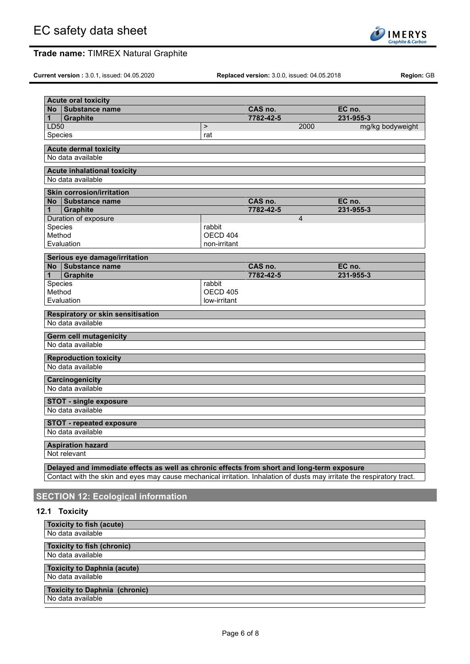

**Current version :** 3.0.1, issued: 04.05.2020 **Replaced version:** 3.0.0, issued: 04.05.2018 **Region:** GB

| $\geq$<br>rat<br>rabbit<br>OECD 404<br>non-irritant<br>rabbit<br>OECD 405<br>low-irritant | 7782-42-5<br>CAS no.<br>7782-42-5<br>CAS no.<br>7782-42-5 | 2000<br>$\overline{4}$ | 231-955-3<br>mg/kg bodyweight<br>EC no.<br>231-955-3<br>EC no.<br>231-955-3                                                                                                                                           |
|-------------------------------------------------------------------------------------------|-----------------------------------------------------------|------------------------|-----------------------------------------------------------------------------------------------------------------------------------------------------------------------------------------------------------------------|
|                                                                                           |                                                           |                        |                                                                                                                                                                                                                       |
|                                                                                           |                                                           |                        |                                                                                                                                                                                                                       |
|                                                                                           |                                                           |                        |                                                                                                                                                                                                                       |
|                                                                                           |                                                           |                        |                                                                                                                                                                                                                       |
|                                                                                           |                                                           |                        |                                                                                                                                                                                                                       |
|                                                                                           |                                                           |                        |                                                                                                                                                                                                                       |
|                                                                                           |                                                           |                        |                                                                                                                                                                                                                       |
|                                                                                           |                                                           |                        |                                                                                                                                                                                                                       |
|                                                                                           |                                                           |                        |                                                                                                                                                                                                                       |
|                                                                                           |                                                           |                        |                                                                                                                                                                                                                       |
|                                                                                           |                                                           |                        |                                                                                                                                                                                                                       |
|                                                                                           |                                                           |                        |                                                                                                                                                                                                                       |
|                                                                                           |                                                           |                        |                                                                                                                                                                                                                       |
|                                                                                           |                                                           |                        |                                                                                                                                                                                                                       |
|                                                                                           |                                                           |                        |                                                                                                                                                                                                                       |
|                                                                                           |                                                           |                        |                                                                                                                                                                                                                       |
|                                                                                           |                                                           |                        |                                                                                                                                                                                                                       |
|                                                                                           |                                                           |                        |                                                                                                                                                                                                                       |
|                                                                                           |                                                           |                        |                                                                                                                                                                                                                       |
|                                                                                           |                                                           |                        |                                                                                                                                                                                                                       |
|                                                                                           |                                                           |                        |                                                                                                                                                                                                                       |
|                                                                                           |                                                           |                        |                                                                                                                                                                                                                       |
|                                                                                           |                                                           |                        |                                                                                                                                                                                                                       |
|                                                                                           |                                                           |                        |                                                                                                                                                                                                                       |
|                                                                                           |                                                           |                        |                                                                                                                                                                                                                       |
|                                                                                           |                                                           |                        |                                                                                                                                                                                                                       |
|                                                                                           |                                                           |                        |                                                                                                                                                                                                                       |
|                                                                                           |                                                           |                        |                                                                                                                                                                                                                       |
|                                                                                           |                                                           |                        |                                                                                                                                                                                                                       |
|                                                                                           |                                                           |                        |                                                                                                                                                                                                                       |
|                                                                                           |                                                           |                        |                                                                                                                                                                                                                       |
|                                                                                           |                                                           |                        |                                                                                                                                                                                                                       |
|                                                                                           |                                                           |                        |                                                                                                                                                                                                                       |
|                                                                                           |                                                           |                        |                                                                                                                                                                                                                       |
|                                                                                           |                                                           |                        |                                                                                                                                                                                                                       |
|                                                                                           |                                                           |                        |                                                                                                                                                                                                                       |
|                                                                                           |                                                           |                        | Delayed and immediate effects as well as chronic effects from short and long-term exposure<br>Contact with the skin and eyes may cause mechanical irritation. Inhalation of dusts may irritate the respiratory tract. |

# **12.1 Toxicity**

| <b>Toxicity to fish (acute)</b>      |
|--------------------------------------|
| No data available                    |
| <b>Toxicity to fish (chronic)</b>    |
| No data available                    |
| <b>Toxicity to Daphnia (acute)</b>   |
| No data available                    |
| <b>Toxicity to Daphnia (chronic)</b> |
| No data available                    |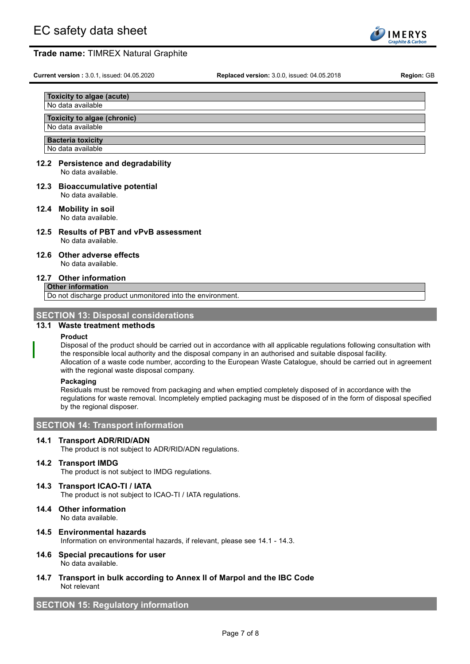

**Current version :** 3.0.1, issued: 04.05.2020 **Replaced version:** 3.0.0, issued: 04.05.2018 **Region:** GB

#### **Toxicity to algae (acute)** No data available

### **Toxicity to algae (chronic)**

### No data available

**Bacteria toxicity**

### No data available

#### **12.2 Persistence and degradability** No data available.

**12.3 Bioaccumulative potential** No data available.

# **12.4 Mobility in soil**

No data available.

**12.5 Results of PBT and vPvB assessment** No data available.

### **12.6 Other adverse effects**

No data available.

### **12.7 Other information**

**Other information** Do not discharge product unmonitored into the environment.

### **SECTION 13: Disposal considerations**

### **13.1 Waste treatment methods**

### **Product**

Disposal of the product should be carried out in accordance with all applicable regulations following consultation with the responsible local authority and the disposal company in an authorised and suitable disposal facility. Allocation of a waste code number, according to the European Waste Catalogue, should be carried out in agreement with the regional waste disposal company.

### **Packaging**

Residuals must be removed from packaging and when emptied completely disposed of in accordance with the regulations for waste removal. Incompletely emptied packaging must be disposed of in the form of disposal specified by the regional disposer.

### **SECTION 14: Transport information**

### **14.1 Transport ADR/RID/ADN**

The product is not subject to ADR/RID/ADN regulations.

### **14.2 Transport IMDG**

The product is not subject to IMDG regulations.

### **14.3 Transport ICAO-TI / IATA**

The product is not subject to ICAO-TI / IATA regulations.

**14.4 Other information** No data available.

### **14.5 Environmental hazards** Information on environmental hazards, if relevant, please see 14.1 - 14.3.

**14.6 Special precautions for user** No data available.

### **14.7 Transport in bulk according to Annex II of Marpol and the IBC Code** Not relevant

# **SECTION 15: Regulatory information**